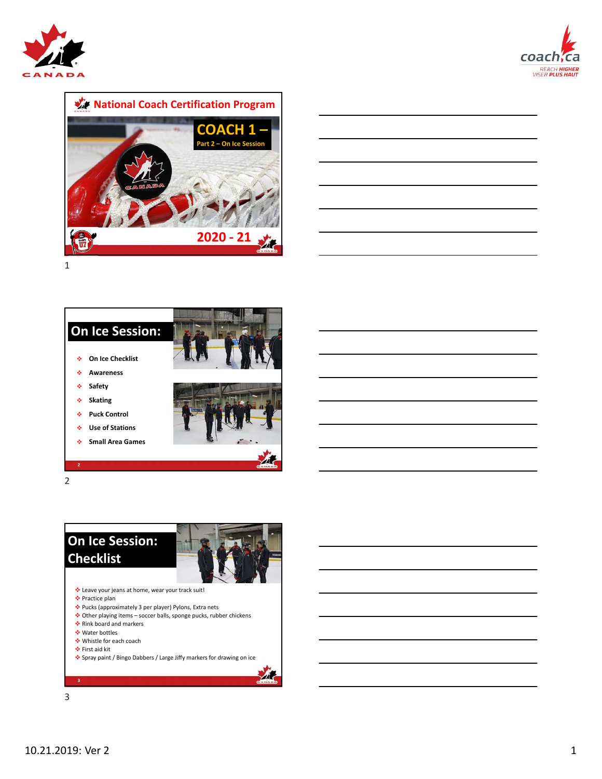









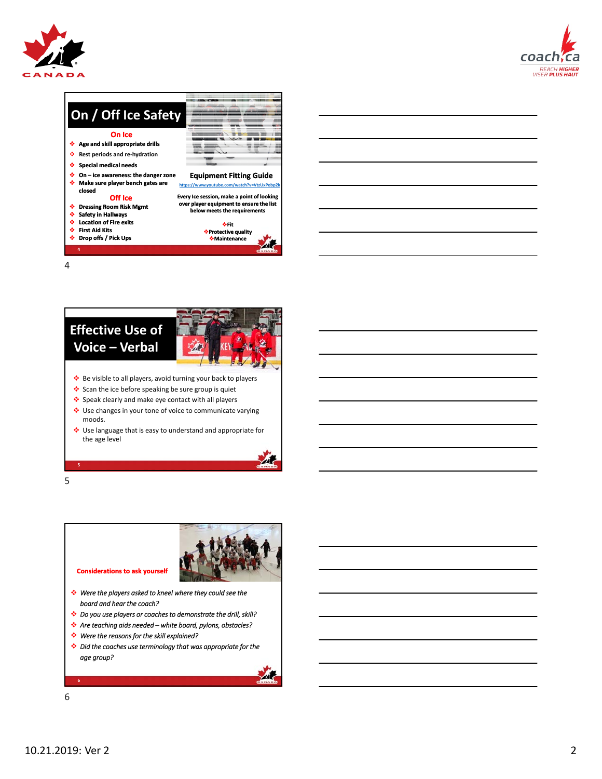







- 
- Scan the ice before speaking be sure group is quiet
- Speak clearly and make eye contact with all players
- Use changes in your tone of voice to communicate varying moods.
- Use language that is easy to understand and appropriate for the age level



**5**

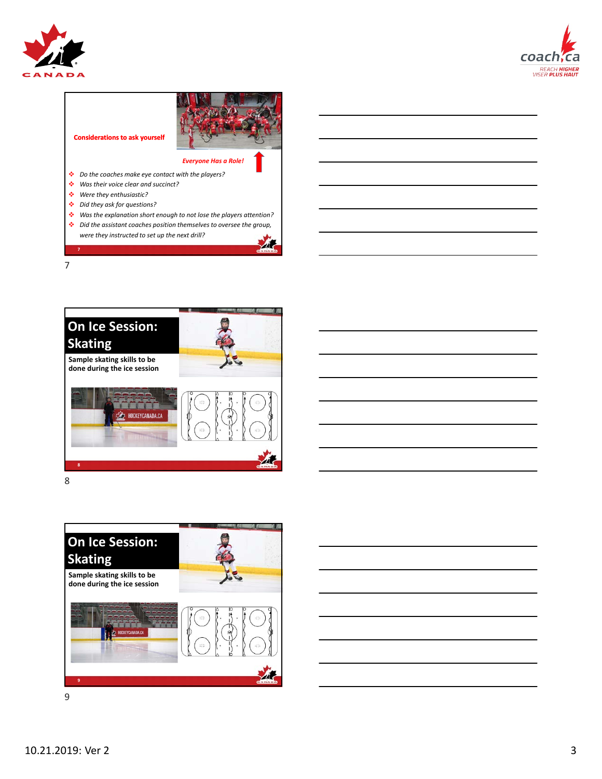









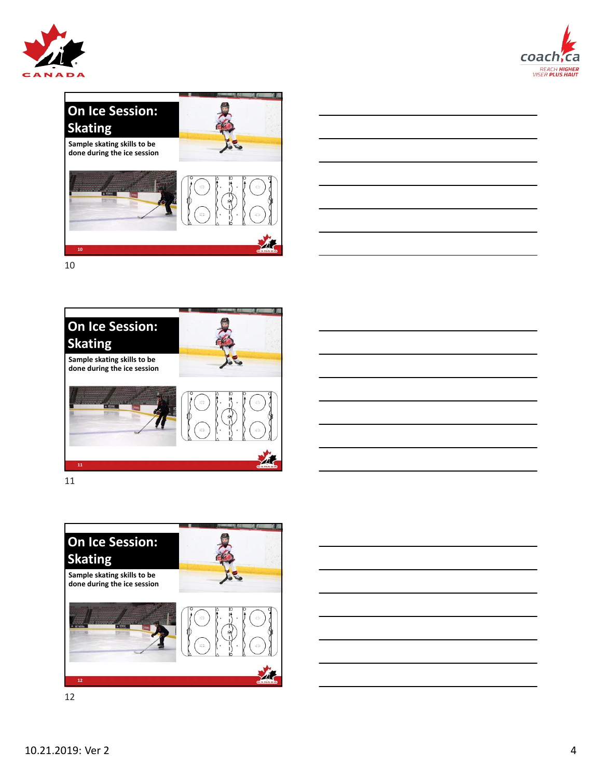





![](_page_3_Picture_3.jpeg)

![](_page_3_Picture_5.jpeg)

![](_page_3_Picture_6.jpeg)

![](_page_3_Picture_7.jpeg)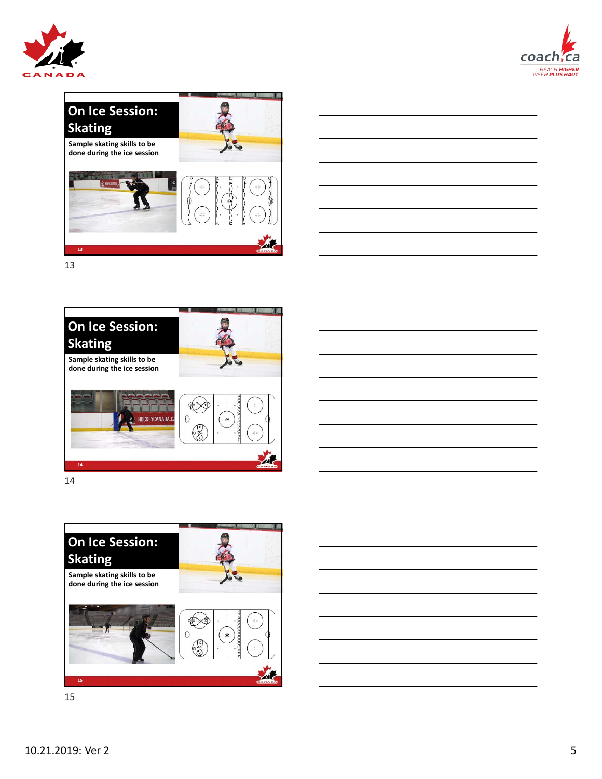![](_page_4_Picture_0.jpeg)

![](_page_4_Picture_1.jpeg)

![](_page_4_Picture_2.jpeg)

![](_page_4_Figure_3.jpeg)

![](_page_4_Picture_5.jpeg)

![](_page_4_Picture_6.jpeg)

![](_page_4_Picture_7.jpeg)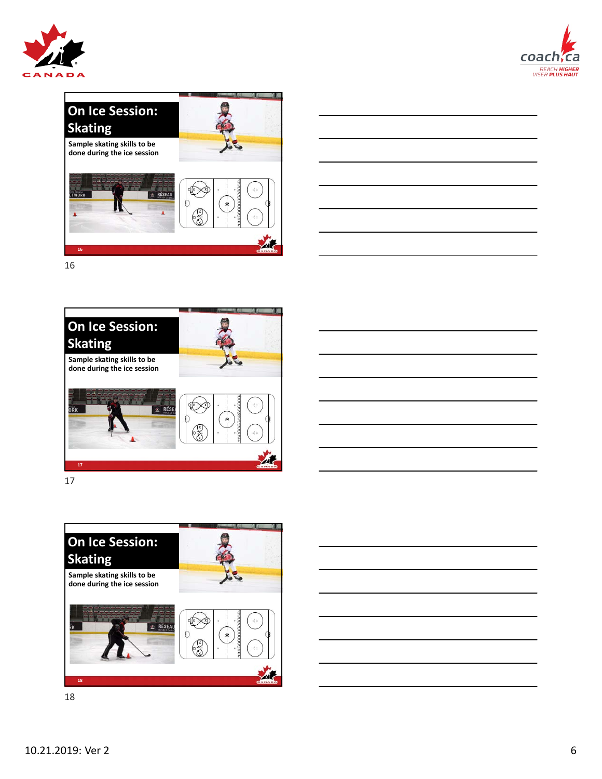![](_page_5_Picture_0.jpeg)

![](_page_5_Picture_1.jpeg)

![](_page_5_Picture_2.jpeg)

![](_page_5_Figure_3.jpeg)

![](_page_5_Picture_5.jpeg)

![](_page_5_Picture_6.jpeg)

![](_page_5_Picture_7.jpeg)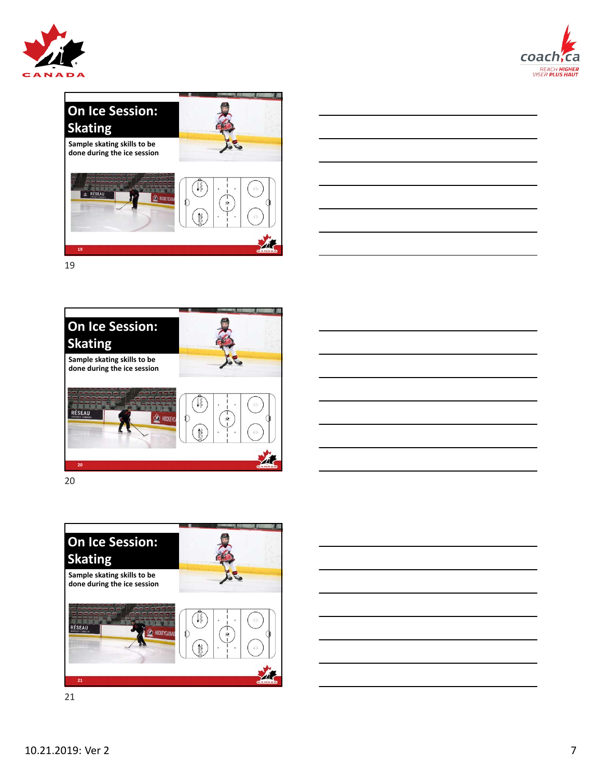![](_page_6_Picture_0.jpeg)

![](_page_6_Picture_1.jpeg)

![](_page_6_Picture_2.jpeg)

![](_page_6_Figure_3.jpeg)

![](_page_6_Picture_5.jpeg)

![](_page_6_Picture_6.jpeg)

![](_page_6_Picture_7.jpeg)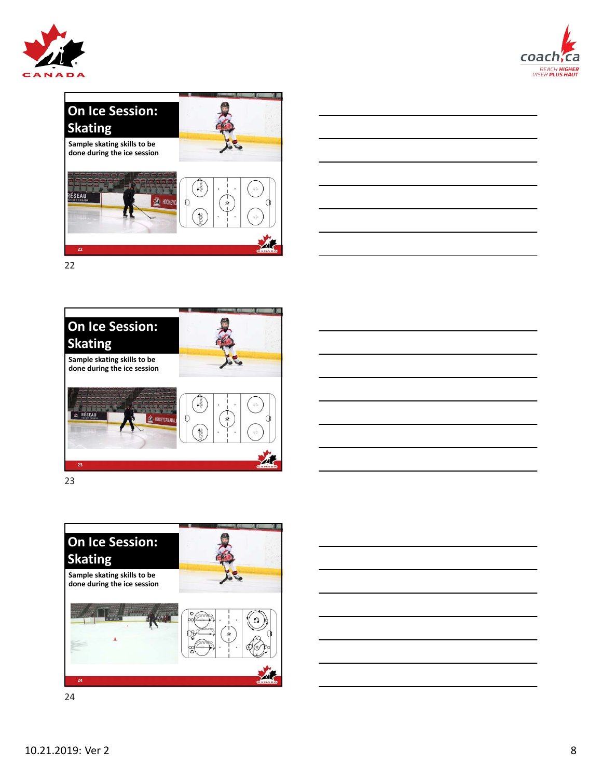![](_page_7_Picture_0.jpeg)

![](_page_7_Picture_1.jpeg)

![](_page_7_Picture_2.jpeg)

![](_page_7_Figure_3.jpeg)

![](_page_7_Picture_5.jpeg)

![](_page_7_Picture_6.jpeg)

![](_page_7_Picture_7.jpeg)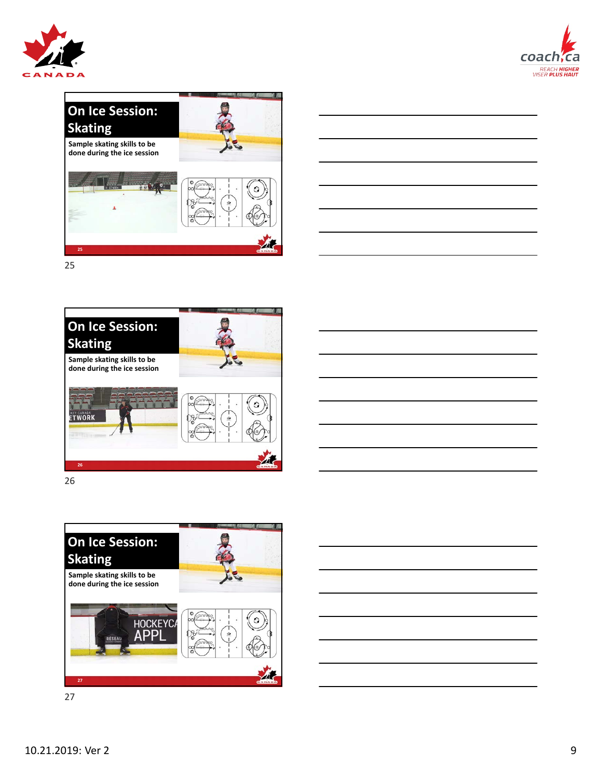![](_page_8_Picture_0.jpeg)

![](_page_8_Picture_1.jpeg)

![](_page_8_Picture_2.jpeg)

![](_page_8_Figure_3.jpeg)

![](_page_8_Picture_5.jpeg)

![](_page_8_Picture_6.jpeg)

![](_page_8_Picture_7.jpeg)

![](_page_8_Picture_8.jpeg)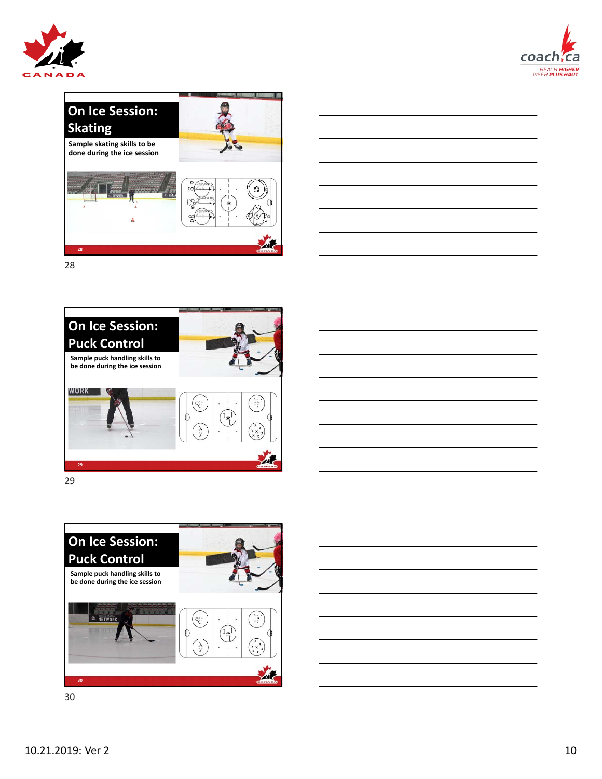![](_page_9_Picture_0.jpeg)

![](_page_9_Picture_1.jpeg)

![](_page_9_Picture_2.jpeg)

![](_page_9_Figure_3.jpeg)

![](_page_9_Picture_5.jpeg)

![](_page_9_Picture_6.jpeg)

![](_page_9_Picture_7.jpeg)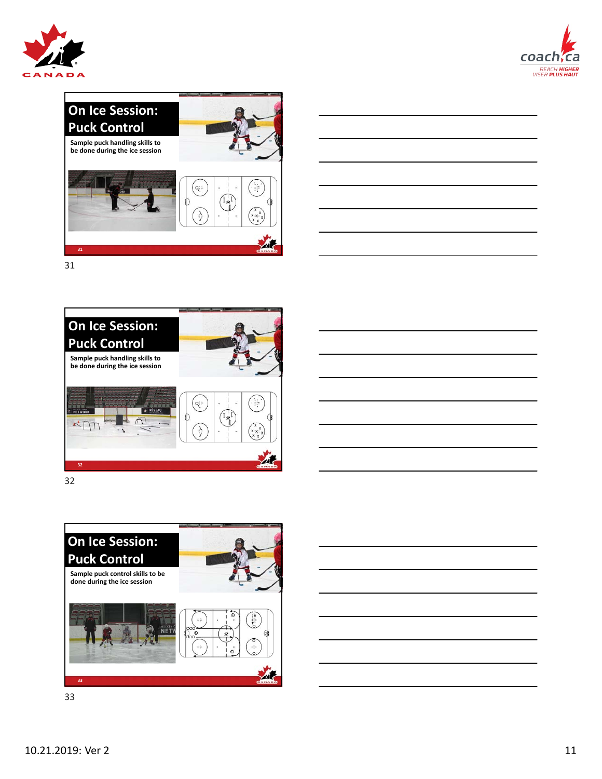![](_page_10_Picture_0.jpeg)

![](_page_10_Picture_1.jpeg)

![](_page_10_Picture_2.jpeg)

![](_page_10_Figure_3.jpeg)

![](_page_10_Picture_5.jpeg)

![](_page_10_Picture_6.jpeg)

![](_page_10_Picture_7.jpeg)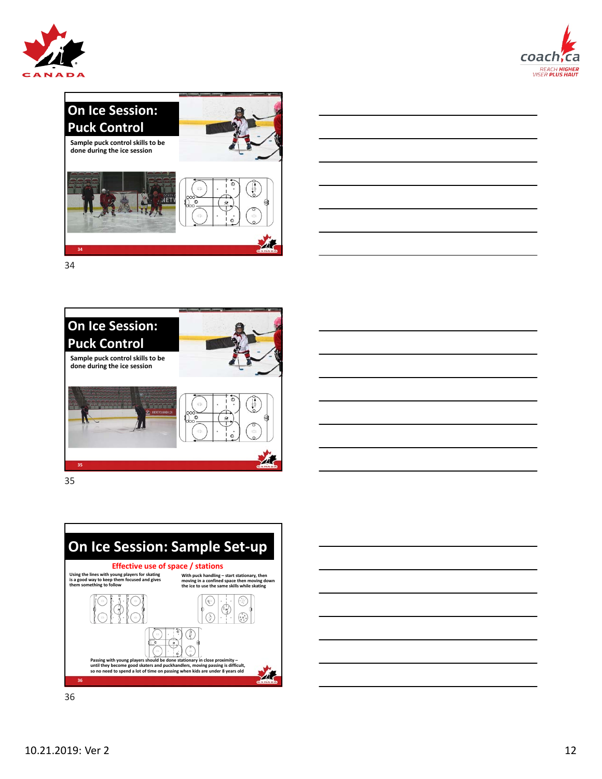![](_page_11_Picture_0.jpeg)

![](_page_11_Picture_1.jpeg)

![](_page_11_Figure_2.jpeg)

![](_page_11_Figure_3.jpeg)

![](_page_11_Picture_5.jpeg)

![](_page_11_Picture_6.jpeg)

![](_page_11_Picture_7.jpeg)

![](_page_11_Figure_8.jpeg)